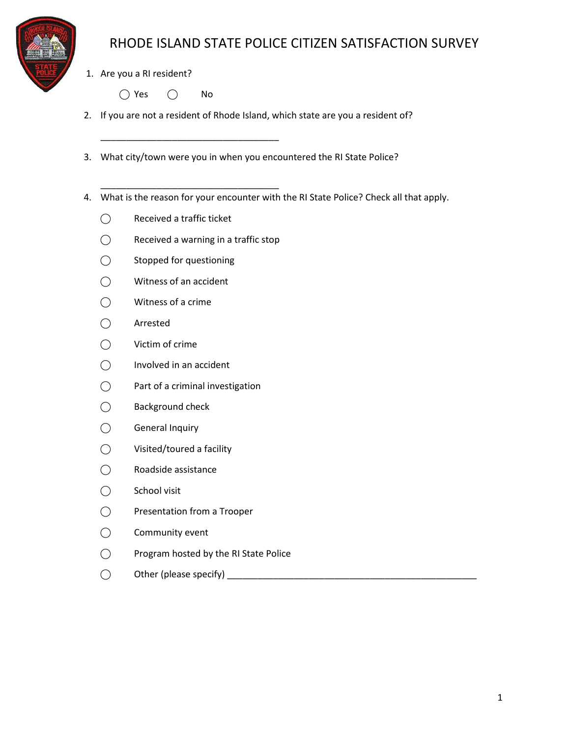

1. Are you a RI resident?

 $\bigcap$  Yes  $\bigcap$  No

- 2. If you are not a resident of Rhode Island, which state are you a resident of?
- 3. What city/town were you in when you encountered the RI State Police?
- 4. What is the reason for your encounter with the RI State Police? Check all that apply.
	- ⃝ Received a traffic ticket
	- $\bigcirc$  Received a warning in a traffic stop

\_\_\_\_\_\_\_\_\_\_\_\_\_\_\_\_\_\_\_\_\_\_\_\_\_\_\_\_\_\_\_\_\_\_\_

\_\_\_\_\_\_\_\_\_\_\_\_\_\_\_\_\_\_\_\_\_\_\_\_\_\_\_\_\_\_\_\_\_\_\_

- ⃝ Stopped for questioning
- ⃝ Witness of an accident
- ⃝ Witness of a crime
- ⃝ Arrested
- ⃝ Victim of crime
- $\bigcap$  Involved in an accident
- ⃝ Part of a criminal investigation
- ⃝ Background check
- ⃝ General Inquiry
- ⃝ Visited/toured a facility
- ⃝ Roadside assistance
- ⃝ School visit
- ⃝ Presentation from a Trooper
- ⃝ Community event
- ⃝ Program hosted by the RI State Police
- ⃝ Other (please specify) \_\_\_\_\_\_\_\_\_\_\_\_\_\_\_\_\_\_\_\_\_\_\_\_\_\_\_\_\_\_\_\_\_\_\_\_\_\_\_\_\_\_\_\_\_\_\_\_\_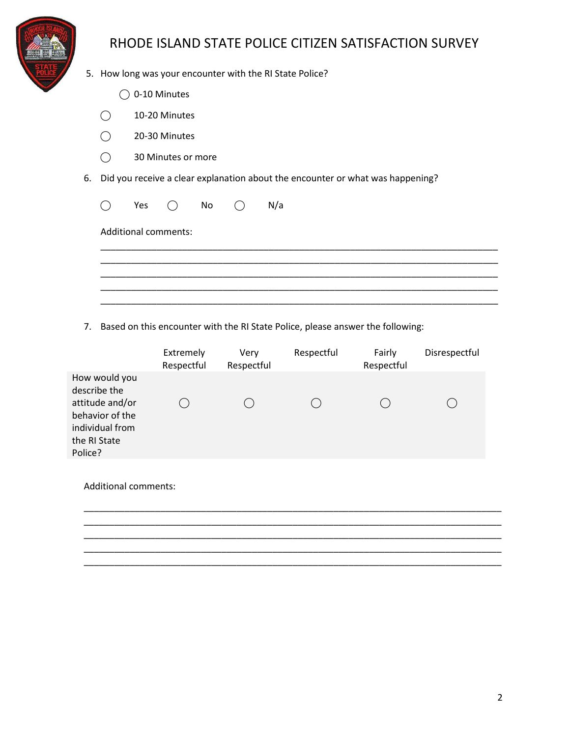

- 5. How long was your encounter with the RI State Police?
	- $\bigcirc$  0-10 Minutes
	- $\bigcirc$  10-20 Minutes
	- ⃝ 20-30 Minutes
	- ⃝ 30 Minutes or more
- 6. Did you receive a clear explanation about the encounter or what was happening?

|                             |  | $\bigcirc$ Yes $\bigcirc$ No $\bigcirc$ N/a |  |
|-----------------------------|--|---------------------------------------------|--|
| <b>Additional comments:</b> |  |                                             |  |
|                             |  |                                             |  |
|                             |  |                                             |  |
|                             |  |                                             |  |

7. Based on this encounter with the RI State Police, please answer the following:

|                                                                                                                   | Extremely<br>Respectful | Very<br>Respectful | Respectful | Fairly<br>Respectful | Disrespectful |
|-------------------------------------------------------------------------------------------------------------------|-------------------------|--------------------|------------|----------------------|---------------|
| How would you<br>describe the<br>attitude and/or<br>behavior of the<br>individual from<br>the RI State<br>Police? |                         |                    |            |                      |               |
| <b>Additional comments:</b>                                                                                       |                         |                    |            |                      |               |
|                                                                                                                   |                         |                    |            |                      |               |
|                                                                                                                   |                         |                    |            |                      |               |
|                                                                                                                   |                         |                    |            |                      |               |

\_\_\_\_\_\_\_\_\_\_\_\_\_\_\_\_\_\_\_\_\_\_\_\_\_\_\_\_\_\_\_\_\_\_\_\_\_\_\_\_\_\_\_\_\_\_\_\_\_\_\_\_\_\_\_\_\_\_\_\_\_\_\_\_\_\_\_\_\_\_\_\_\_\_\_\_\_\_\_\_\_\_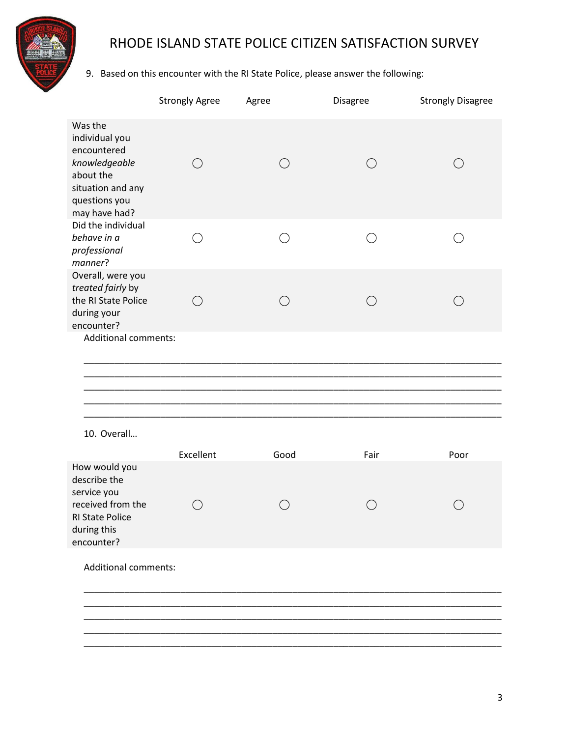

### 9. Based on this encounter with the RI State Police, please answer the following:

|                                                                                                                               | <b>Strongly Agree</b> | Agree      | Disagree   | <b>Strongly Disagree</b> |
|-------------------------------------------------------------------------------------------------------------------------------|-----------------------|------------|------------|--------------------------|
| Was the<br>individual you<br>encountered<br>knowledgeable<br>about the<br>situation and any<br>questions you<br>may have had? | $\bigcirc$            | $\bigcirc$ | $\bigcirc$ | $($ )                    |
| Did the individual<br>behave in a<br>professional<br>manner?                                                                  | ◯                     | $(\ )$     | ◯          |                          |
| Overall, were you<br>treated fairly by<br>the RI State Police<br>during your<br>encounter?                                    | $\bigcirc$            | ◯          | $\bigcirc$ | ( )                      |
| <b>Additional comments:</b>                                                                                                   |                       |            |            |                          |
|                                                                                                                               |                       |            |            |                          |
|                                                                                                                               |                       |            |            |                          |
| 10. Overall                                                                                                                   |                       |            |            |                          |
|                                                                                                                               |                       |            |            |                          |
|                                                                                                                               | Excellent             | Good       | Fair       | Poor                     |
| How would you<br>describe the<br>service you<br>received from the<br><b>RI State Police</b><br>during this<br>encounter?      |                       |            |            |                          |
| <b>Additional comments:</b>                                                                                                   |                       |            |            |                          |
|                                                                                                                               |                       |            |            |                          |
|                                                                                                                               |                       |            |            |                          |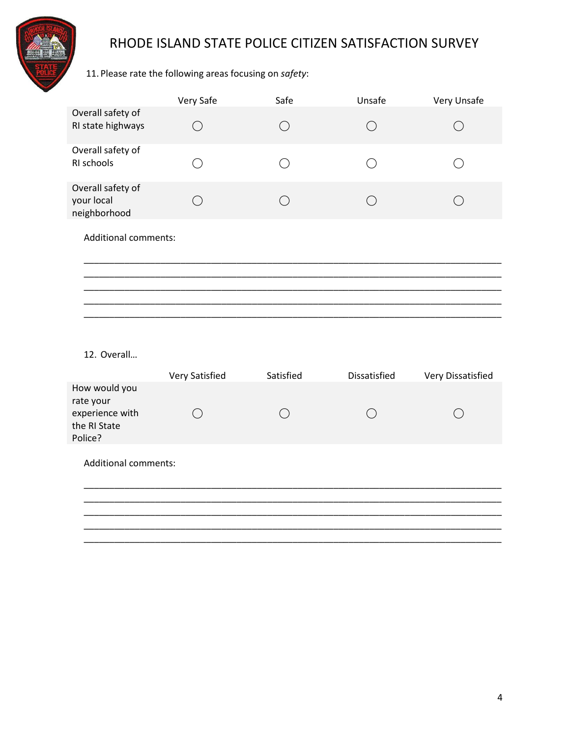

#### 11. Please rate the following areas focusing on safety:

|                                                 | Very Safe                                   | Safe                                        | Unsafe                                      | Very Unsafe       |
|-------------------------------------------------|---------------------------------------------|---------------------------------------------|---------------------------------------------|-------------------|
| Overall safety of<br>RI state highways          | $\bigcirc$                                  | $\bigcirc$                                  | $\bigcirc$                                  | ( )               |
| Overall safety of<br>RI schools                 | $\left(\begin{array}{c} \end{array}\right)$ | $\left(\begin{array}{c} \end{array}\right)$ | $\left(\begin{array}{c} \end{array}\right)$ | ()                |
| Overall safety of<br>your local<br>neighborhood | $\bigcirc$                                  | $\bigcirc$                                  | $\bigcirc$                                  | $\bigcirc$        |
| <b>Additional comments:</b>                     |                                             |                                             |                                             |                   |
|                                                 |                                             |                                             |                                             |                   |
|                                                 |                                             |                                             |                                             |                   |
|                                                 |                                             |                                             |                                             |                   |
|                                                 |                                             |                                             |                                             |                   |
| 12. Overall                                     |                                             |                                             |                                             |                   |
|                                                 | Very Satisfied                              | Satisfied                                   | Dissatisfied                                | Very Dissatisfied |
| How would you<br>rate your                      |                                             |                                             |                                             |                   |
| experience with<br>the RI State<br>Police?      | ◯                                           | ◯                                           | $\bigcirc$                                  |                   |
| <b>Additional comments:</b>                     |                                             |                                             |                                             |                   |
|                                                 |                                             |                                             |                                             |                   |
|                                                 |                                             |                                             |                                             |                   |
|                                                 |                                             |                                             |                                             |                   |